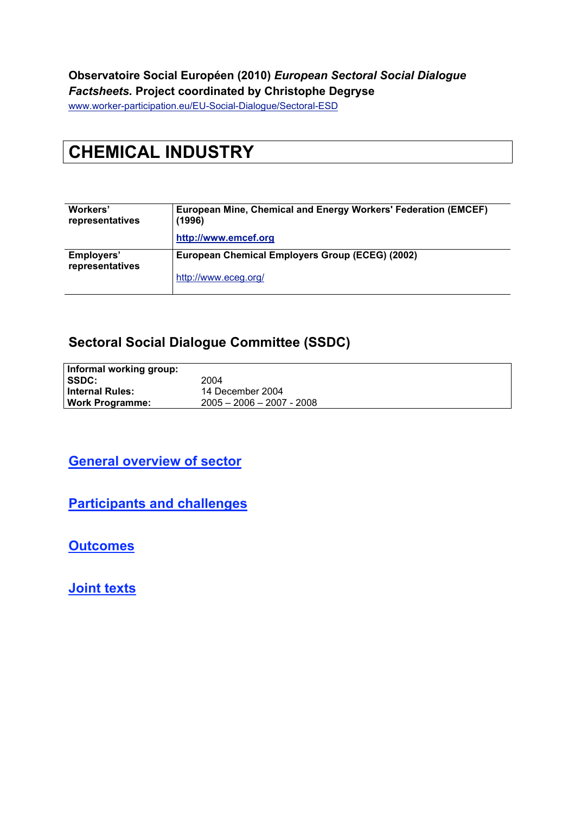#### **Observatoire Social Européen (2010)** *European Sectoral Social Dialogue Factsheets.* **Project coordinated by Christophe Degryse**

www.worker-participation.eu/EU-Social-Dialogue/Sectoral-ESD

# **CHEMICAL INDUSTRY**

| Workers'<br>representatives   | European Mine, Chemical and Energy Workers' Federation (EMCEF)<br>(1996) |  |  |  |
|-------------------------------|--------------------------------------------------------------------------|--|--|--|
|                               | http://www.emcef.org                                                     |  |  |  |
| Employers'<br>representatives | European Chemical Employers Group (ECEG) (2002)                          |  |  |  |
|                               | http://www.eceg.org/                                                     |  |  |  |

#### **Sectoral Social Dialogue Committee (SSDC)**

| Informal working group: |                             |
|-------------------------|-----------------------------|
| SSDC:                   | 2004                        |
| <b>Internal Rules:</b>  | 14 December 2004            |
| <b>Work Programme:</b>  | $2005 - 2006 - 2007 - 2008$ |

#### **General overview of sector**

**Participants and challenges**

**Outcomes**

**Joint texts**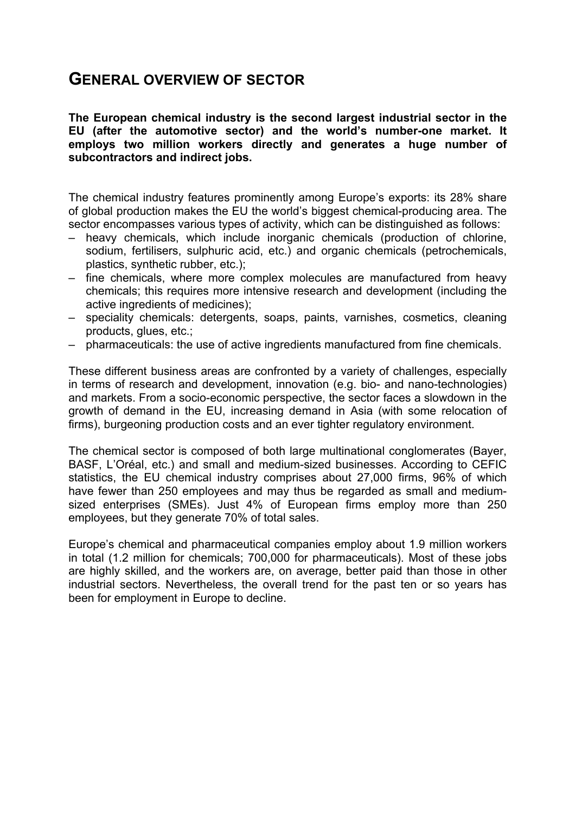### **GENERAL OVERVIEW OF SECTOR**

**The European chemical industry is the second largest industrial sector in the EU (after the automotive sector) and the world's number-one market. It employs two million workers directly and generates a huge number of subcontractors and indirect jobs.**

The chemical industry features prominently among Europe's exports: its 28% share of global production makes the EU the world's biggest chemical-producing area. The sector encompasses various types of activity, which can be distinguished as follows:

- heavy chemicals, which include inorganic chemicals (production of chlorine, sodium, fertilisers, sulphuric acid, etc.) and organic chemicals (petrochemicals, plastics, synthetic rubber, etc.);
- fine chemicals, where more complex molecules are manufactured from heavy chemicals; this requires more intensive research and development (including the active ingredients of medicines);
- speciality chemicals: detergents, soaps, paints, varnishes, cosmetics, cleaning products, glues, etc.;
- pharmaceuticals: the use of active ingredients manufactured from fine chemicals.

These different business areas are confronted by a variety of challenges, especially in terms of research and development, innovation (e.g. bio- and nano-technologies) and markets. From a socio-economic perspective, the sector faces a slowdown in the growth of demand in the EU, increasing demand in Asia (with some relocation of firms), burgeoning production costs and an ever tighter regulatory environment.

The chemical sector is composed of both large multinational conglomerates (Bayer, BASF, L'Oréal, etc.) and small and medium-sized businesses. According to CEFIC statistics, the EU chemical industry comprises about 27,000 firms, 96% of which have fewer than 250 employees and may thus be regarded as small and mediumsized enterprises (SMEs). Just 4% of European firms employ more than 250 employees, but they generate 70% of total sales.

Europe's chemical and pharmaceutical companies employ about 1.9 million workers in total (1.2 million for chemicals; 700,000 for pharmaceuticals). Most of these jobs are highly skilled, and the workers are, on average, better paid than those in other industrial sectors. Nevertheless, the overall trend for the past ten or so years has been for employment in Europe to decline.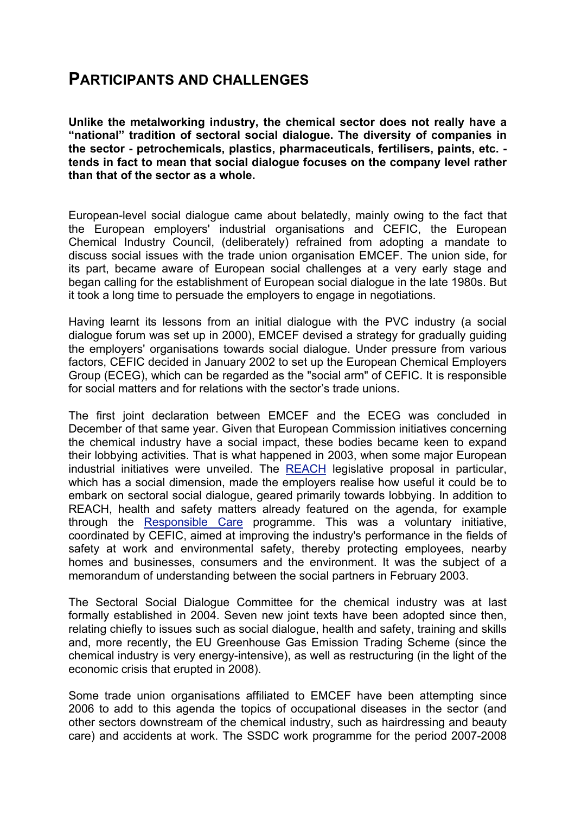### **PARTICIPANTS AND CHALLENGES**

**Unlike the metalworking industry, the chemical sector does not really have a "national" tradition of sectoral social dialogue. The diversity of companies in the sector - petrochemicals, plastics, pharmaceuticals, fertilisers, paints, etc. tends in fact to mean that social dialogue focuses on the company level rather than that of the sector as a whole.**

European-level social dialogue came about belatedly, mainly owing to the fact that the European employers' industrial organisations and CEFIC, the European Chemical Industry Council, (deliberately) refrained from adopting a mandate to discuss social issues with the trade union organisation EMCEF. The union side, for its part, became aware of European social challenges at a very early stage and began calling for the establishment of European social dialogue in the late 1980s. But it took a long time to persuade the employers to engage in negotiations.

Having learnt its lessons from an initial dialogue with the PVC industry (a social dialogue forum was set up in 2000), EMCEF devised a strategy for gradually guiding the employers' organisations towards social dialogue. Under pressure from various factors, CEFIC decided in January 2002 to set up the European Chemical Employers Group (ECEG), which can be regarded as the "social arm" of CEFIC. It is responsible for social matters and for relations with the sector's trade unions.

The first joint declaration between EMCEF and the ECEG was concluded in December of that same year. Given that European Commission initiatives concerning the chemical industry have a social impact, these bodies became keen to expand their lobbying activities. That is what happened in 2003, when some major European industrial initiatives were unveiled. The REACH legislative proposal in particular, which has a social dimension, made the employers realise how useful it could be to embark on sectoral social dialogue, geared primarily towards lobbying. In addition to REACH, health and safety matters already featured on the agenda, for example through the Responsible Care programme. This was a voluntary initiative, coordinated by CEFIC, aimed at improving the industry's performance in the fields of safety at work and environmental safety, thereby protecting employees, nearby homes and businesses, consumers and the environment. It was the subject of a memorandum of understanding between the social partners in February 2003.

The Sectoral Social Dialogue Committee for the chemical industry was at last formally established in 2004. Seven new joint texts have been adopted since then, relating chiefly to issues such as social dialogue, health and safety, training and skills and, more recently, the EU Greenhouse Gas Emission Trading Scheme (since the chemical industry is very energy-intensive), as well as restructuring (in the light of the economic crisis that erupted in 2008).

Some trade union organisations affiliated to EMCEF have been attempting since 2006 to add to this agenda the topics of occupational diseases in the sector (and other sectors downstream of the chemical industry, such as hairdressing and beauty care) and accidents at work. The SSDC work programme for the period 2007-2008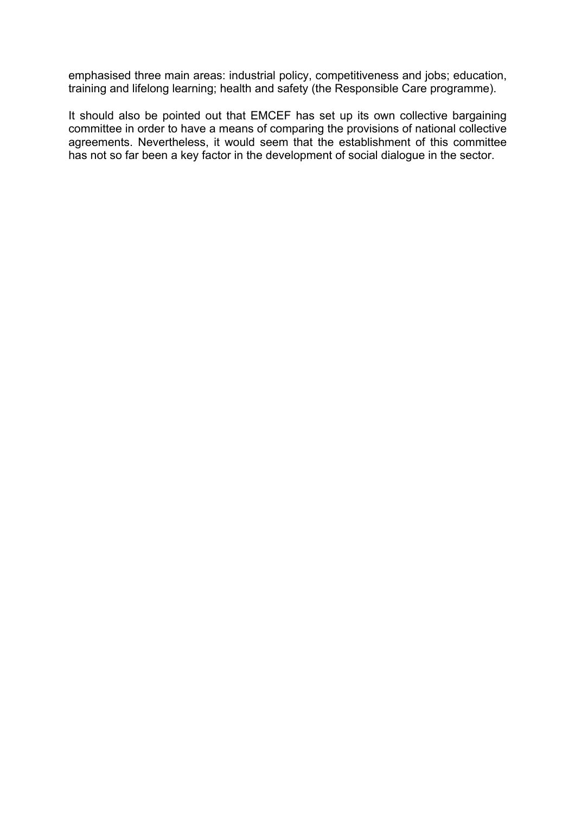emphasised three main areas: industrial policy, competitiveness and jobs; education, training and lifelong learning; health and safety (the Responsible Care programme).

It should also be pointed out that EMCEF has set up its own collective bargaining committee in order to have a means of comparing the provisions of national collective agreements. Nevertheless, it would seem that the establishment of this committee has not so far been a key factor in the development of social dialogue in the sector.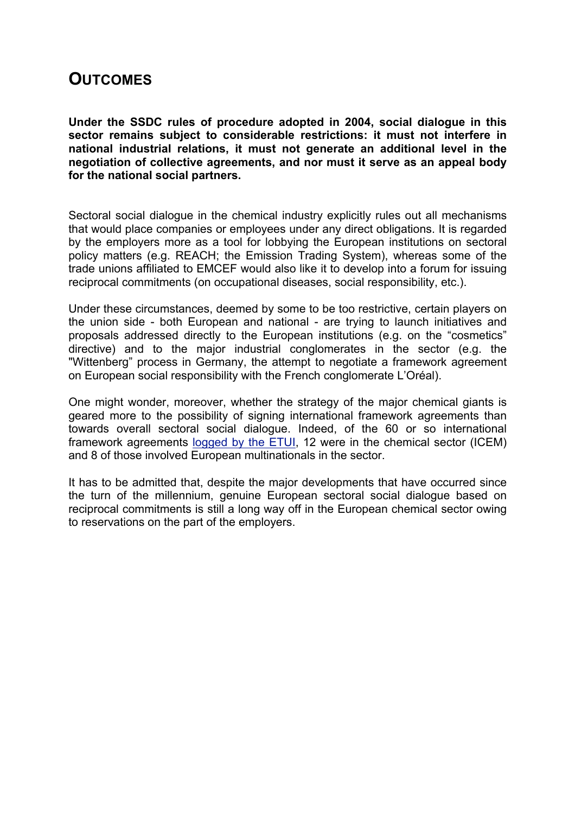### **OUTCOMES**

**Under the SSDC rules of procedure adopted in 2004, social dialogue in this sector remains subject to considerable restrictions: it must not interfere in national industrial relations, it must not generate an additional level in the negotiation of collective agreements, and nor must it serve as an appeal body for the national social partners.**

Sectoral social dialogue in the chemical industry explicitly rules out all mechanisms that would place companies or employees under any direct obligations. It is regarded by the employers more as a tool for lobbying the European institutions on sectoral policy matters (e.g. REACH; the Emission Trading System), whereas some of the trade unions affiliated to EMCEF would also like it to develop into a forum for issuing reciprocal commitments (on occupational diseases, social responsibility, etc.).

Under these circumstances, deemed by some to be too restrictive, certain players on the union side - both European and national - are trying to launch initiatives and proposals addressed directly to the European institutions (e.g. on the "cosmetics" directive) and to the major industrial conglomerates in the sector (e.g. the "Wittenberg" process in Germany, the attempt to negotiate a framework agreement on European social responsibility with the French conglomerate L'Oréal).

One might wonder, moreover, whether the strategy of the major chemical giants is geared more to the possibility of signing international framework agreements than towards overall sectoral social dialogue. Indeed, of the 60 or so international framework agreements logged by the ETUI, 12 were in the chemical sector (ICEM) and 8 of those involved European multinationals in the sector.

It has to be admitted that, despite the major developments that have occurred since the turn of the millennium, genuine European sectoral social dialogue based on reciprocal commitments is still a long way off in the European chemical sector owing to reservations on the part of the employers.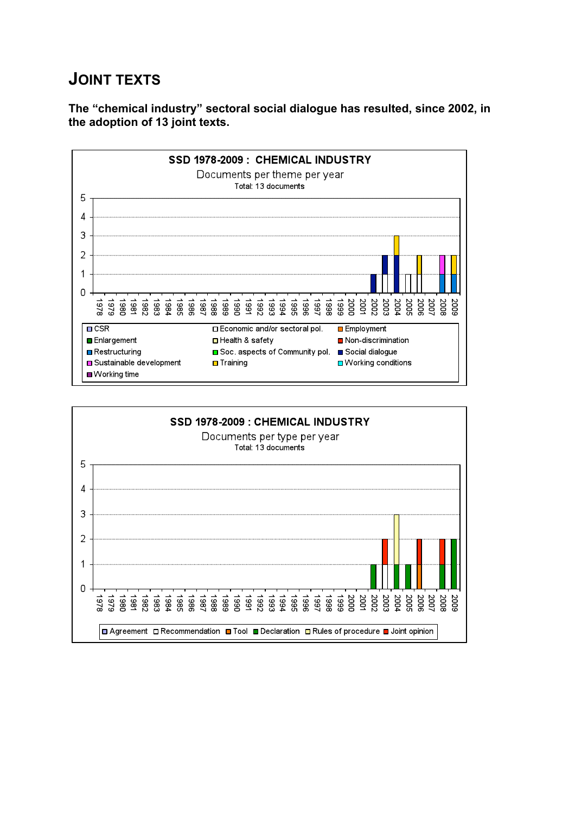## **JOINT TEXTS**

**The "chemical industry" sectoral social dialogue has resulted, since 2002, in the adoption of 13 joint texts.**